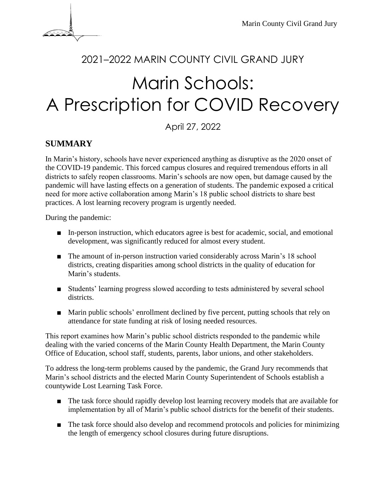

# <sup>2021</sup>–2022 MARIN COUNTY CIVIL GRAND JURY

# Marin Schools: A Prescription for COVID Recovery

April 27, 2022

### **SUMMARY**

In Marin's history, schools have never experienced anything as disruptive as the 2020 onset of the COVID-19 pandemic. This forced campus closures and required tremendous efforts in all districts to safely reopen classrooms. Marin's schools are now open, but damage caused by the pandemic will have lasting effects on a generation of students. The pandemic exposed a critical need for more active collaboration among Marin's 18 public school districts to share best practices. A lost learning recovery program is urgently needed.

During the pandemic:

- In-person instruction, which educators agree is best for academic, social, and emotional development, was significantly reduced for almost every student.
- The amount of in-person instruction varied considerably across Marin's 18 school districts, creating disparities among school districts in the quality of education for Marin's students.
- Students' learning progress slowed according to tests administered by several school districts.
- Marin public schools' enrollment declined by five percent, putting schools that rely on attendance for state funding at risk of losing needed resources.

This report examines how Marin's public school districts responded to the pandemic while dealing with the varied concerns of the Marin County Health Department, the Marin County Office of Education, school staff, students, parents, labor unions, and other stakeholders.

To address the long-term problems caused by the pandemic, the Grand Jury recommends that Marin's school districts and the elected Marin County Superintendent of Schools establish a countywide Lost Learning Task Force.

- The task force should rapidly develop lost learning recovery models that are available for implementation by all of Marin's public school districts for the benefit of their students.
- The task force should also develop and recommend protocols and policies for minimizing the length of emergency school closures during future disruptions.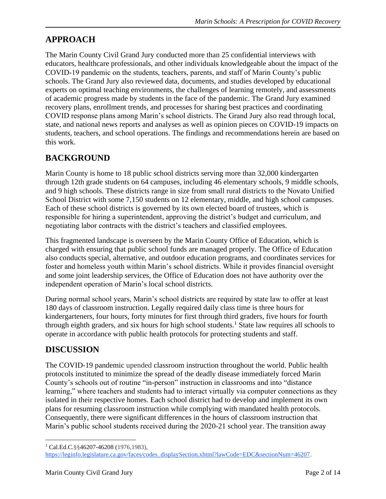# **APPROACH**

The Marin County Civil Grand Jury conducted more than 25 confidential interviews with educators, healthcare professionals, and other individuals knowledgeable about the impact of the COVID-19 pandemic on the students, teachers, parents, and staff of Marin County's public schools. The Grand Jury also reviewed data, documents, and studies developed by educational experts on optimal teaching environments, the challenges of learning remotely, and assessments of academic progress made by students in the face of the pandemic. The Grand Jury examined recovery plans, enrollment trends, and processes for sharing best practices and coordinating COVID response plans among Marin's school districts. The Grand Jury also read through local, state, and national news reports and analyses as well as opinion pieces on COVID-19 impacts on students, teachers, and school operations. The findings and recommendations herein are based on this work.

# **BACKGROUND**

Marin County is home to 18 public school districts serving more than 32,000 kindergarten through 12th grade students on 64 campuses, including 46 elementary schools, 9 middle schools, and 9 high schools. These districts range in size from small rural districts to the Novato Unified School District with some 7,150 students on 12 elementary, middle, and high school campuses. Each of these school districts is governed by its own elected board of trustees, which is responsible for hiring a superintendent, approving the district's budget and curriculum, and negotiating labor contracts with the district's teachers and classified employees.

This fragmented landscape is overseen by the Marin County Office of Education, which is charged with ensuring that public school funds are managed properly. The Office of Education also conducts special, alternative, and outdoor education programs, and coordinates services for foster and homeless youth within Marin's school districts. While it provides financial oversight and some joint leadership services, the Office of Education does not have authority over the independent operation of Marin's local school districts.

During normal school years, Marin's school districts are required by state law to offer at least 180 days of classroom instruction. Legally required daily class time is three hours for kindergarteners, four hours, forty minutes for first through third graders, five hours for fourth through eighth graders, and six hours for high school students.<sup>1</sup> State law requires all schools to operate in accordance with public health protocols for protecting students and staff.

# **DISCUSSION**

The COVID-19 pandemic upended classroom instruction throughout the world. Public health protocols instituted to minimize the spread of the deadly disease immediately forced Marin County's schools out of routine "in-person" instruction in classrooms and into "distance learning," where teachers and students had to interact virtually via computer connections as they isolated in their respective homes. Each school district had to develop and implement its own plans for resuming classroom instruction while complying with mandated health protocols. Consequently, there were significant differences in the hours of classroom instruction that Marin's public school students received during the 2020-21 school year. The transition away

<sup>1</sup> Cal.Ed.C.§§46207-46208 (1976,1983),

[https://leginfo.legislature.ca.gov/faces/codes\\_displaySection.xhtml?lawCode=EDC&sectionNum=46207.](https://leginfo.legislature.ca.gov/faces/codes_displaySection.xhtml?lawCode=EDC§ionNum=46207)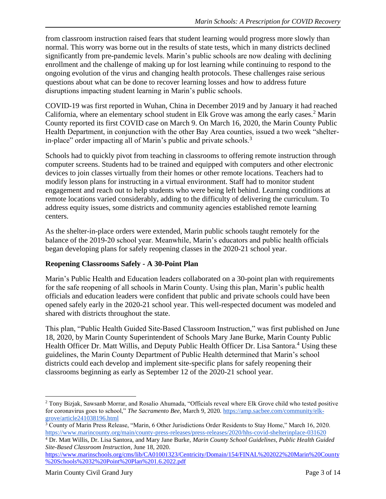from classroom instruction raised fears that student learning would progress more slowly than normal. This worry was borne out in the results of state tests, which in many districts declined significantly from pre-pandemic levels. Marin's public schools are now dealing with declining enrollment and the challenge of making up for lost learning while continuing to respond to the ongoing evolution of the virus and changing health protocols. These challenges raise serious questions about what can be done to recover learning losses and how to address future disruptions impacting student learning in Marin's public schools.

COVID-19 was first reported in Wuhan, China in December 2019 and by January it had reached California, where an elementary school student in Elk Grove was among the early cases.<sup>2</sup> Marin County reported its first COVID case on March 9. On March 16, 2020, the Marin County Public Health Department, in conjunction with the other Bay Area counties, issued a two week "shelterin-place" order impacting all of Marin's public and private schools. $3$ 

Schools had to quickly pivot from teaching in classrooms to offering remote instruction through computer screens. Students had to be trained and equipped with computers and other electronic devices to join classes virtually from their homes or other remote locations. Teachers had to modify lesson plans for instructing in a virtual environment. Staff had to monitor student engagement and reach out to help students who were being left behind. Learning conditions at remote locations varied considerably, adding to the difficulty of delivering the curriculum. To address equity issues, some districts and community agencies established remote learning centers.

As the shelter-in-place orders were extended, Marin public schools taught remotely for the balance of the 2019-20 school year. Meanwhile, Marin's educators and public health officials began developing plans for safely reopening classes in the 2020-21 school year.

#### **Reopening Classrooms Safely - A 30-Point Plan**

Marin's Public Health and Education leaders collaborated on a 30-point plan with requirements for the safe reopening of all schools in Marin County. Using this plan, Marin's public health officials and education leaders were confident that public and private schools could have been opened safely early in the 2020-21 school year. This well-respected document was modeled and shared with districts throughout the state.

This plan, "Public Health Guided Site-Based Classroom Instruction," was first published on June 18, 2020, by Marin County Superintendent of Schools Mary Jane Burke, Marin County Public Health Officer Dr. Matt Willis, and Deputy Public Health Officer Dr. Lisa Santora.<sup>4</sup> Using these guidelines, the Marin County Department of Public Health determined that Marin's school districts could each develop and implement site-specific plans for safely reopening their classrooms beginning as early as September 12 of the 2020-21 school year.

<sup>&</sup>lt;sup>2</sup> Tony Bizjak, Sawsanb Morrar, and Rosalio Ahumada, "Officials reveal where Elk Grove child who tested positive for coronavirus goes to school," *The Sacramento Bee,* March 9, 2020. [https://amp.sacbee.com/community/elk](https://amp.sacbee.com/community/elk-grove/article241038196.html)[grove/article241038196.html](https://amp.sacbee.com/community/elk-grove/article241038196.html)

<sup>&</sup>lt;sup>3</sup> County of Marin Press Release, "Marin, 6 Other Jurisdictions Order Residents to Stay Home," March 16, 2020. <https://www.marincounty.org/main/county-press-releases/press-releases/2020/hhs-covid-shelterinplace-031620>

<sup>4</sup> Dr. Matt Willis, Dr. Lisa Santora, and Mary Jane Burke, *Marin County School Guidelines, Public Health Guided Site-Based Classroom Instruction*, June 18, 2020.

[https://www.marinschools.org/cms/lib/CA01001323/Centricity/Domain/154/FINAL%202022%20Marin%20County](https://www.marinschools.org/cms/lib/CA01001323/Centricity/Domain/154/FINAL%202022%20Marin%20County%20Schools%2032%20Point%20Plan%201.6.2022.pdf) [%20Schools%2032%20Point%20Plan%201.6.2022.pdf](https://www.marinschools.org/cms/lib/CA01001323/Centricity/Domain/154/FINAL%202022%20Marin%20County%20Schools%2032%20Point%20Plan%201.6.2022.pdf)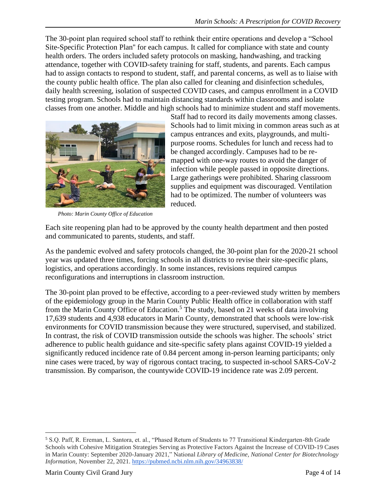The 30-point plan required school staff to rethink their entire operations and develop a "School Site-Specific Protection Plan'' for each campus. It called for compliance with state and county health orders. The orders included safety protocols on masking, handwashing, and tracking attendance, together with COVID-safety training for staff, students, and parents. Each campus had to assign contacts to respond to student, staff, and parental concerns, as well as to liaise with the county public health office. The plan also called for cleaning and disinfection schedules, daily health screening, isolation of suspected COVID cases, and campus enrollment in a COVID testing program. Schools had to maintain distancing standards within classrooms and isolate classes from one another. Middle and high schools had to minimize student and staff movements.



*Photo: Marin County Office of Education*

Staff had to record its daily movements among classes. Schools had to limit mixing in common areas such as at campus entrances and exits, playgrounds, and multipurpose rooms. Schedules for lunch and recess had to be changed accordingly. Campuses had to be remapped with one-way routes to avoid the danger of infection while people passed in opposite directions. Large gatherings were prohibited. Sharing classroom supplies and equipment was discouraged. Ventilation had to be optimized. The number of volunteers was reduced.

Each site reopening plan had to be approved by the county health department and then posted and communicated to parents, students, and staff.

As the pandemic evolved and safety protocols changed, the 30-point plan for the 2020-21 school year was updated three times, forcing schools in all districts to revise their site-specific plans, logistics, and operations accordingly. In some instances, revisions required campus reconfigurations and interruptions in classroom instruction.

The 30-point plan proved to be effective, according to a peer-reviewed study written by members of the epidemiology group in the Marin County Public Health office in collaboration with staff from the Marin County Office of Education.<sup>5</sup> The study, based on 21 weeks of data involving 17,639 students and 4,938 educators in Marin County, demonstrated that schools were low-risk environments for COVID transmission because they were structured, supervised, and stabilized. In contrast, the risk of COVID transmission outside the schools was higher. The schools' strict adherence to public health guidance and site-specific safety plans against COVID-19 yielded a significantly reduced incidence rate of 0.84 percent among in-person learning participants; only nine cases were traced, by way of rigorous contact tracing, to suspected in-school SARS-CoV-2 transmission. By comparison, the countywide COVID-19 incidence rate was 2.09 percent.

<sup>5</sup> S.Q. Paff, R. Ereman, L. Santora, et. al., "Phased Return of Students to 77 Transitional Kindergarten-8th Grade Schools with Cohesive Mitigation Strategies Serving as Protective Factors Against the Increase of COVID-19 Cases in Marin County: September 2020-January 2021," National *Library of Medicine, National Center for Biotechnology Information,* November 22, 2021[. https://pubmed.ncbi.nlm.nih.gov/34963838/](https://pubmed.ncbi.nlm.nih.gov/34963838/)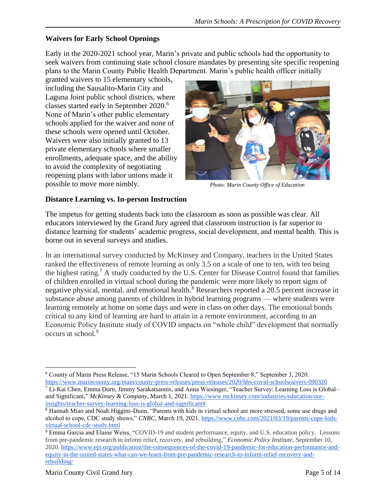#### **Waivers for Early School Openings**

Early in the 2020-2021 school year, Marin's private and public schools had the opportunity to seek waivers from continuing state school closure mandates by presenting site specific reopening plans to the Marin County Public Health Department. Marin's public health officer initially

granted waivers to 15 elementary schools, including the Sausalito-Marin City and Laguna Joint public school districts, where classes started early in September 2020.<sup>6</sup> None of Marin's other public elementary schools applied for the waiver and none of these schools were opened until October. Waivers were also initially granted to 13 private elementary schools where smaller enrollments, adequate space, and the ability to avoid the complexity of negotiating reopening plans with labor unions made it possible to move more nimbly.



*Photo: Marin County Office of Education*

#### **Distance Learning vs. In-person Instruction**

The impetus for getting students back into the classroom as soon as possible was clear. All educators interviewed by the Grand Jury agreed that classroom instruction is far superior to distance learning for students' academic progress, social development, and mental health. This is borne out in several surveys and studies.

In an international survey conducted by McKinsey and Company, teachers in the United States ranked the effectiveness of remote learning as only 3.5 on a scale of one to ten, with ten being the highest rating.<sup>7</sup> A study conducted by the U.S. Center for Disease Control found that families of children enrolled in virtual school during the pandemic were more likely to report signs of negative physical, mental, and emotional health.<sup>8</sup> Researchers reported a 20.5 percent increase in substance abuse among parents of children in hybrid learning programs — where students were learning remotely at home on some days and were in class on other days. The emotional bonds critical to any kind of learning are hard to attain in a remote environment, according to an Economic Policy Institute study of COVID impacts on "whole child" development that normally occurs at school.<sup>9</sup>

<sup>6</sup> County of Marin Press Release, "15 Marin Schools Cleared to Open September 8," September 3, 2020. <https://www.marincounty.org/main/county-press-releases/press-releases/2020/hhs-covid-schoolwaivers-090320>

<sup>&</sup>lt;sup>7</sup> [Li-Kai Chen,](https://www.mckinsey.com/our-people/li-kai-chen) [Emma Dorn,](https://www.mckinsey.com/our-people/emma-dorn) [Jimmy Sarakatsannis,](https://www.mckinsey.com/our-people/jimmy-sarakatsannis) and Anna Wiesinger, "Teacher Survey: Learning Loss is Global– and Significant*,*" *McKinsey & Company,* March 1, 2021. [https://www.mckinsey.com/industries/education/our](https://www.mckinsey.com/industries/education/our-insights/teacher-survey-learning-loss-is-global-and-significant)[insights/teacher-survey-learning-loss-is-global-and-significant#](https://www.mckinsey.com/industries/education/our-insights/teacher-survey-learning-loss-is-global-and-significant)

<sup>8</sup> Hannah Miao and Noah Higgins-Dunn, "Parents with kids in virtual school are more stressed, some use drugs and alcohol to cope, CDC study shows," *CNBC*, March 19, 2021. [https://www.cnbc.com/2021/03/19/parents-cope-kids](https://www.cnbc.com/2021/03/19/parents-cope-kids-virtual-school-cdc-study.html)[virtual-school-cdc-study.html](https://www.cnbc.com/2021/03/19/parents-cope-kids-virtual-school-cdc-study.html)

<sup>9</sup> Emma Garcia and Elaine Weiss, "COVID-19 and student performance, equity, and U.S. education policy.Lessons from pre-pandemic research to inform relief, recovery, and rebuilding," *Economic Policy Institute,* September 10, 2020. [https://www.epi.org/publication/the-consequences-of-the-covid-19-pandemic-for-education-performance-and](https://www.epi.org/publication/the-consequences-of-the-covid-19-pandemic-for-education-performance-and-equity-in-the-united-states-what-can-we-learn-from-pre-pandemic-research-to-inform-relief-recovery-and-rebuilding/)[equity-in-the-united-states-what-can-we-learn-from-pre-pandemic-research-to-inform-relief-recovery-and](https://www.epi.org/publication/the-consequences-of-the-covid-19-pandemic-for-education-performance-and-equity-in-the-united-states-what-can-we-learn-from-pre-pandemic-research-to-inform-relief-recovery-and-rebuilding/)[rebuilding/](https://www.epi.org/publication/the-consequences-of-the-covid-19-pandemic-for-education-performance-and-equity-in-the-united-states-what-can-we-learn-from-pre-pandemic-research-to-inform-relief-recovery-and-rebuilding/)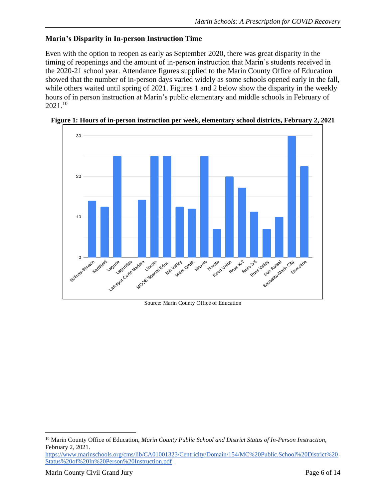#### **Marin's Disparity in In-person Instruction Time**

Even with the option to reopen as early as September 2020, there was great disparity in the timing of reopenings and the amount of in-person instruction that Marin's students received in the 2020-21 school year. Attendance figures supplied to the Marin County Office of Education showed that the number of in-person days varied widely as some schools opened early in the fall, while others waited until spring of 2021. Figures 1 and 2 below show the disparity in the weekly hours of in person instruction at Marin's public elementary and middle schools in February of 2021.<sup>10</sup>



**Figure 1: Hours of in-person instruction per week, elementary school districts, February 2, 2021**

Source: Marin County Office of Education

<sup>10</sup> Marin County Office of Education, *Marin County Public School and District Status of In-Person Instruction,* February 2, 2021.

[https://www.marinschools.org/cms/lib/CA01001323/Centricity/Domain/154/MC%20Public.School%20District%20](https://www.marinschools.org/cms/lib/CA01001323/Centricity/Domain/154/MC%20Public.School%20District%20Status%20of%20In%20Person%20Instruction.pdf) [Status%20of%20In%20Person%20Instruction.pdf](https://www.marinschools.org/cms/lib/CA01001323/Centricity/Domain/154/MC%20Public.School%20District%20Status%20of%20In%20Person%20Instruction.pdf)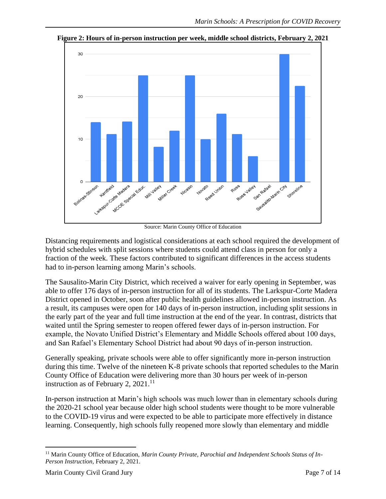

**Figure 2: Hours of in-person instruction per week, middle school districts, February 2, 2021**

Source: Marin County Office of Education

Distancing requirements and logistical considerations at each school required the development of hybrid schedules with split sessions where students could attend class in person for only a fraction of the week. These factors contributed to significant differences in the access students had to in-person learning among Marin's schools.

The Sausalito-Marin City District, which received a waiver for early opening in September, was able to offer 176 days of in-person instruction for all of its students. The Larkspur-Corte Madera District opened in October, soon after public health guidelines allowed in-person instruction. As a result, its campuses were open for 140 days of in-person instruction, including split sessions in the early part of the year and full time instruction at the end of the year. In contrast, districts that waited until the Spring semester to reopen offered fewer days of in-person instruction. For example, the Novato Unified District's Elementary and Middle Schools offered about 100 days, and San Rafael's Elementary School District had about 90 days of in-person instruction.

Generally speaking, private schools were able to offer significantly more in-person instruction during this time. Twelve of the nineteen K-8 private schools that reported schedules to the Marin County Office of Education were delivering more than 30 hours per week of in-person instruction as of February 2,  $2021$ .<sup>11</sup>

In-person instruction at Marin's high schools was much lower than in elementary schools during the 2020-21 school year because older high school students were thought to be more vulnerable to the COVID-19 virus and were expected to be able to participate more effectively in distance learning. Consequently, high schools fully reopened more slowly than elementary and middle

<sup>&</sup>lt;sup>11</sup> Marin County Office of Education, Marin County Private, Parochial and Independent Schools Status of In-*Person Instruction,* February 2, 2021.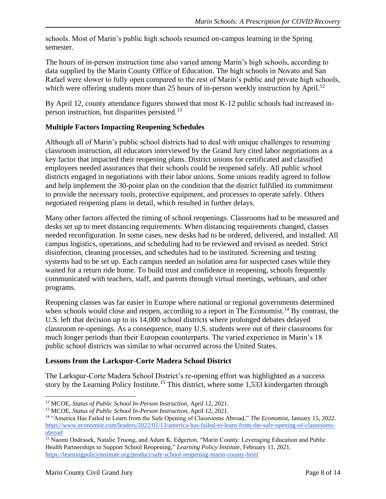schools. Most of Marin's public high schools resumed on-campus learning in the Spring semester.

The hours of in-person instruction time also varied among Marin's high schools, according to data supplied by the Marin County Office of Education. The high schools in Novato and San Rafael were slower to fully open compared to the rest of Marin's public and private high schools, which were offering students more than 25 hours of in-person weekly instruction by April.<sup>12</sup>

By April 12, county attendance figures showed that most K-12 public schools had increased inperson instruction, but disparities persisted.<sup>13</sup>

#### **Multiple Factors Impacting Reopening Schedules**

Although all of Marin's public school districts had to deal with unique challenges to resuming classroom instruction, all educators interviewed by the Grand Jury cited labor negotiations as a key factor that impacted their reopening plans. District unions for certificated and classified employees needed assurances that their schools could be reopened safely. All public school districts engaged in negotiations with their labor unions. Some unions readily agreed to follow and help implement the 30-point plan on the condition that the district fulfilled its commitment to provide the necessary tools, protective equipment, and processes to operate safely. Others negotiated reopening plans in detail, which resulted in further delays.

Many other factors affected the timing of school reopenings. Classrooms had to be measured and desks set up to meet distancing requirements. When distancing requirements changed, classes needed reconfiguration. In some cases, new desks had to be ordered, delivered, and installed. All campus logistics, operations, and scheduling had to be reviewed and revised as needed. Strict disinfection, cleaning processes, and schedules had to be instituted. Screening and testing systems had to be set up. Each campus needed an isolation area for suspected cases while they waited for a return ride home. To build trust and confidence in reopening, schools frequently communicated with teachers, staff, and parents through virtual meetings, webinars, and other programs.

Reopening classes was far easier in Europe where national or regional governments determined when schools would close and reopen, according to a report in The Economist.<sup>14</sup> By contrast, the U.S. left that decision up to its 14,000 school districts where prolonged debates delayed classroom re-openings. As a consequence, many U.S. students were out of their classrooms for much longer periods than their European counterparts. The varied experience in Marin's 18 public school districts was similar to what occurred across the United States.

#### **Lessons from the Larkspur-Corte Madera School District**

The Larkspur-Corte Madera School District's re-opening effort was highlighted as a success story by the Learning Policy Institute.<sup>15</sup> This district, where some 1,533 kindergarten through

<sup>&</sup>lt;sup>12</sup> MCOE, *Status of Public School In-Person Instruction*, April 12, 2021.

<sup>&</sup>lt;sup>13</sup> MCOE, *Status of Public School In-Person Instruction*, April 12, 2021.

<sup>14</sup> "America Has Failed to Learn from the Safe Opening of Classrooms Abroad," *The Economist*, January 15, 2022. [https://www.economist.com/leaders/2022/01/13/america-has-failed-to-learn-from-the-safe-opening-of-classrooms](https://www.economist.com/leaders/2022/01/13/america-has-failed-to-learn-from-the-safe-opening-of-classrooms-abroad)[abroad](https://www.economist.com/leaders/2022/01/13/america-has-failed-to-learn-from-the-safe-opening-of-classrooms-abroad)

<sup>&</sup>lt;sup>15</sup> Naomi Ondrasek, Natalie Truong, and Adam K. Edgerton, "Marin County: Leveraging Education and Public Health Partnerships to Support School Reopening*,*" *Learning Policy Institute*, February 11, 2021. <https://learningpolicyinstitute.org/product/safe-school-reopening-marin-county-brief>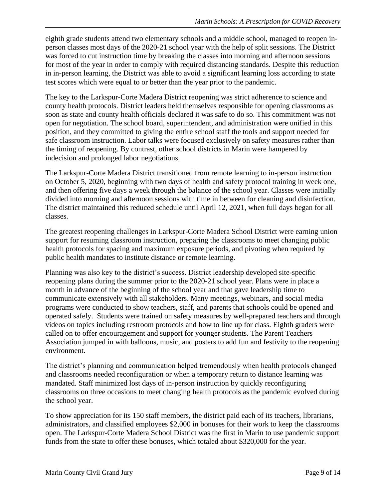eighth grade students attend two elementary schools and a middle school, managed to reopen inperson classes most days of the 2020-21 school year with the help of split sessions. The District was forced to cut instruction time by breaking the classes into morning and afternoon sessions for most of the year in order to comply with required distancing standards. Despite this reduction in in-person learning, the District was able to avoid a significant learning loss according to state test scores which were equal to or better than the year prior to the pandemic.

The key to the Larkspur-Corte Madera District reopening was strict adherence to science and county health protocols. District leaders held themselves responsible for opening classrooms as soon as state and county health officials declared it was safe to do so. This commitment was not open for negotiation. The school board, superintendent, and administration were unified in this position, and they committed to giving the entire school staff the tools and support needed for safe classroom instruction. Labor talks were focused exclusively on safety measures rather than the timing of reopening. By contrast, other school districts in Marin were hampered by indecision and prolonged labor negotiations.

The Larkspur-Corte Madera District transitioned from remote learning to in-person instruction on October 5, 2020, beginning with two days of health and safety protocol training in week one, and then offering five days a week through the balance of the school year. Classes were initially divided into morning and afternoon sessions with time in between for cleaning and disinfection. The district maintained this reduced schedule until April 12, 2021, when full days began for all classes.

The greatest reopening challenges in Larkspur-Corte Madera School District were earning union support for resuming classroom instruction, preparing the classrooms to meet changing public health protocols for spacing and maximum exposure periods, and pivoting when required by public health mandates to institute distance or remote learning.

Planning was also key to the district's success. District leadership developed site-specific reopening plans during the summer prior to the 2020-21 school year. Plans were in place a month in advance of the beginning of the school year and that gave leadership time to communicate extensively with all stakeholders. Many meetings, webinars, and social media programs were conducted to show teachers, staff, and parents that schools could be opened and operated safely. Students were trained on safety measures by well-prepared teachers and through videos on topics including restroom protocols and how to line up for class. Eighth graders were called on to offer encouragement and support for younger students. The Parent Teachers Association jumped in with balloons, music, and posters to add fun and festivity to the reopening environment.

The district's planning and communication helped tremendously when health protocols changed and classrooms needed reconfiguration or when a temporary return to distance learning was mandated. Staff minimized lost days of in-person instruction by quickly reconfiguring classrooms on three occasions to meet changing health protocols as the pandemic evolved during the school year.

To show appreciation for its 150 staff members, the district paid each of its teachers, librarians, administrators, and classified employees \$2,000 in bonuses for their work to keep the classrooms open. The Larkspur-Corte Madera School District was the first in Marin to use pandemic support funds from the state to offer these bonuses, which totaled about \$320,000 for the year.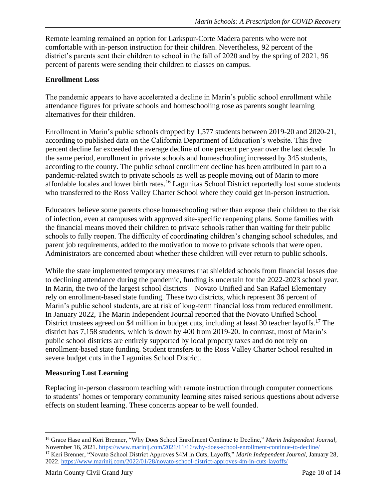Remote learning remained an option for Larkspur-Corte Madera parents who were not comfortable with in-person instruction for their children. Nevertheless, 92 percent of the district's parents sent their children to school in the fall of 2020 and by the spring of 2021, 96 percent of parents were sending their children to classes on campus.

#### **Enrollment Loss**

The pandemic appears to have accelerated a decline in Marin's public school enrollment while attendance figures for private schools and homeschooling rose as parents sought learning alternatives for their children.

Enrollment in Marin's public schools dropped by 1,577 students between 2019-20 and 2020-21, according to published data on the California Department of Education's website. This five percent decline far exceeded the average decline of one percent per year over the last decade. In the same period, enrollment in private schools and homeschooling increased by 345 students, according to the county. The public school enrollment decline has been attributed in part to a pandemic-related switch to private schools as well as people moving out of Marin to more affordable locales and lower birth rates.<sup>16</sup> Lagunitas School District reportedly lost some students who transferred to the Ross Valley Charter School where they could get in-person instruction.

Educators believe some parents chose homeschooling rather than expose their children to the risk of infection, even at campuses with approved site-specific reopening plans. Some families with the financial means moved their children to private schools rather than waiting for their public schools to fully reopen. The difficulty of coordinating children's changing school schedules, and parent job requirements, added to the motivation to move to private schools that were open. Administrators are concerned about whether these children will ever return to public schools.

While the state implemented temporary measures that shielded schools from financial losses due to declining attendance during the pandemic, funding is uncertain for the 2022-2023 school year. In Marin, the two of the largest school districts – Novato Unified and San Rafael Elementary – rely on enrollment-based state funding. These two districts, which represent 36 percent of Marin's public school students, are at risk of long-term financial loss from reduced enrollment. In January 2022, The Marin Independent Journal reported that the Novato Unified School District trustees agreed on \$4 million in budget cuts, including at least 30 teacher layoffs.<sup>17</sup> The district has 7,158 students, which is down by 400 from 2019-20. In contrast, most of Marin's public school districts are entirely supported by local property taxes and do not rely on enrollment-based state funding. Student transfers to the Ross Valley Charter School resulted in severe budget cuts in the Lagunitas School District.

#### **Measuring Lost Learning**

Replacing in-person classroom teaching with remote instruction through computer connections to students' homes or temporary community learning sites raised serious questions about adverse effects on student learning. These concerns appear to be well founded.

<sup>16</sup> Grace Hase and Keri Brenner, "Why Does School Enrollment Continue to Decline," *Marin Independent Journal,* November 16, 2021[. https://www.marinij.com/2021/11/16/why-does-school-enrollment-continue-to-decline/](https://www.marinij.com/2021/11/16/why-does-school-enrollment-continue-to-decline/) <sup>17</sup> Keri Brenner, "Novato School District Approves \$4M in Cuts, Layoffs," *Marin Independent Journal,* January 28, 2022.<https://www.marinij.com/2022/01/28/novato-school-district-approves-4m-in-cuts-layoffs/>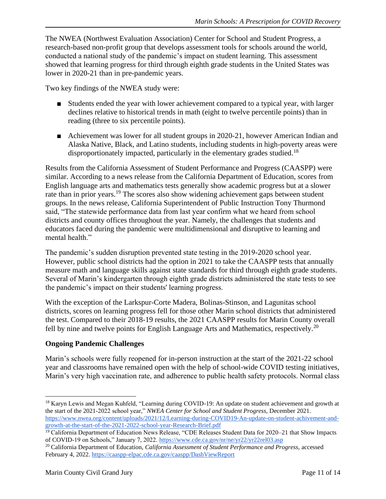The NWEA (Northwest Evaluation Association) Center for School and Student Progress, a research-based non-profit group that develops assessment tools for schools around the world, conducted a national study of the pandemic's impact on student learning. This assessment showed that learning progress for third through eighth grade students in the United States was lower in 2020-21 than in pre-pandemic years.

Two key findings of the NWEA study were:

- Students ended the year with lower achievement compared to a typical year, with larger declines relative to historical trends in math (eight to twelve percentile points) than in reading (three to six percentile points).
- Achievement was lower for all student groups in 2020-21, however American Indian and Alaska Native, Black, and Latino students, including students in high-poverty areas were disproportionately impacted, particularly in the elementary grades studied.<sup>18</sup>

Results from the California Assessment of Student Performance and Progress (CAASPP) were similar. According to a news release from the California Department of Education, scores from English language arts and mathematics tests generally show academic progress but at a slower rate than in prior years.<sup>19</sup> The scores also show widening achievement gaps between student groups. In the news release, California Superintendent of Public Instruction Tony Thurmond said, "The statewide performance data from last year confirm what we heard from school districts and county offices throughout the year. Namely, the challenges that students and educators faced during the pandemic were multidimensional and disruptive to learning and mental health."

The pandemic's sudden disruption prevented state testing in the 2019-2020 school year. However, public school districts had the option in 2021 to take the CAASPP tests that annually measure math and language skills against state standards for third through eighth grade students. Several of Marin's kindergarten through eighth grade districts administered the state tests to see the pandemic's impact on their students' learning progress.

With the exception of the Larkspur-Corte Madera, Bolinas-Stinson, and Lagunitas school districts, scores on learning progress fell for those other Marin school districts that administered the test. Compared to their 2018-19 results, the 2021 CAASPP results for Marin County overall fell by nine and twelve points for English Language Arts and Mathematics, respectively.<sup>20</sup>

#### **Ongoing Pandemic Challenges**

Marin's schools were fully reopened for in-person instruction at the start of the 2021-22 school year and classrooms have remained open with the help of school-wide COVID testing initiatives, Marin's very high vaccination rate, and adherence to public health safety protocols. Normal class

<sup>&</sup>lt;sup>18</sup> Karyn Lewis and Megan Kuhfeld, "Learning during COVID-19: An update on student achievement and growth at the start of the 2021-2022 school year," *NWEA Center for School and Student Progress,* December 2021. [https://www.nwea.org/content/uploads/2021/12/Learning-during-COVID19-An-update-on-student-achivement-and](https://www.nwea.org/content/uploads/2021/12/Learning-during-COVID19-An-update-on-student-achivement-and-growth-at-the-start-of-the-2021-2022-school-year-Research-Brief.pdf)[growth-at-the-start-of-the-2021-2022-school-year-Research-Brief.pdf](https://www.nwea.org/content/uploads/2021/12/Learning-during-COVID19-An-update-on-student-achivement-and-growth-at-the-start-of-the-2021-2022-school-year-Research-Brief.pdf)

<sup>&</sup>lt;sup>19</sup> California Department of Education News Release, "CDE Releases Student Data for 2020–21 that Show Impacts of COVID-19 on Schools," January 7, 2022.<https://www.cde.ca.gov/nr/ne/yr22/yr22rel03.asp>

<sup>20</sup> California Department of Education, *California Assessment of Student Performance and Progress,* accessed February 4, 2022[. https://caaspp-elpac.cde.ca.gov/caaspp/DashViewReport](https://caaspp-elpac.cde.ca.gov/caaspp/DashViewReportSB?ps=true&lstTestYear=2021&lstTestType=B&lstGroup=1&lstSubGroup=1&lstGrade=13&lstSchoolType=A&lstCounty=21&lstDistrict=00000&lstSchool=0000000&lstFocus=a)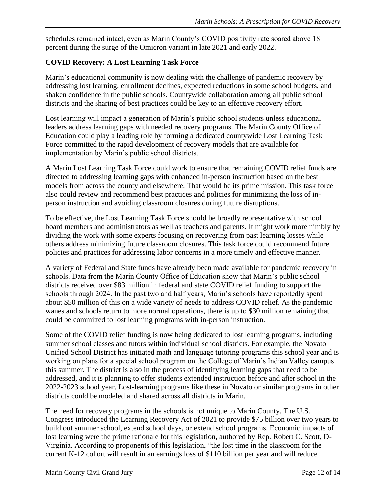schedules remained intact, even as Marin County's COVID positivity rate soared above 18 percent during the surge of the Omicron variant in late 2021 and early 2022.

#### **COVID Recovery: A Lost Learning Task Force**

Marin's educational community is now dealing with the challenge of pandemic recovery by addressing lost learning, enrollment declines, expected reductions in some school budgets, and shaken confidence in the public schools. Countywide collaboration among all public school districts and the sharing of best practices could be key to an effective recovery effort.

Lost learning will impact a generation of Marin's public school students unless educational leaders address learning gaps with needed recovery programs. The Marin County Office of Education could play a leading role by forming a dedicated countywide Lost Learning Task Force committed to the rapid development of recovery models that are available for implementation by Marin's public school districts.

A Marin Lost Learning Task Force could work to ensure that remaining COVID relief funds are directed to addressing learning gaps with enhanced in-person instruction based on the best models from across the county and elsewhere. That would be its prime mission. This task force also could review and recommend best practices and policies for minimizing the loss of inperson instruction and avoiding classroom closures during future disruptions.

To be effective, the Lost Learning Task Force should be broadly representative with school board members and administrators as well as teachers and parents. It might work more nimbly by dividing the work with some experts focusing on recovering from past learning losses while others address minimizing future classroom closures. This task force could recommend future policies and practices for addressing labor concerns in a more timely and effective manner.

A variety of Federal and State funds have already been made available for pandemic recovery in schools. Data from the Marin County Office of Education show that Marin's public school districts received over \$83 million in federal and state COVID relief funding to support the schools through 2024. In the past two and half years, Marin's schools have reportedly spent about \$50 million of this on a wide variety of needs to address COVID relief. As the pandemic wanes and schools return to more normal operations, there is up to \$30 million remaining that could be committed to lost learning programs with in-person instruction.

Some of the COVID relief funding is now being dedicated to lost learning programs, including summer school classes and tutors within individual school districts. For example, the Novato Unified School District has initiated math and language tutoring programs this school year and is working on plans for a special school program on the College of Marin's Indian Valley campus this summer. The district is also in the process of identifying learning gaps that need to be addressed, and it is planning to offer students extended instruction before and after school in the 2022-2023 school year. Lost-learning programs like these in Novato or similar programs in other districts could be modeled and shared across all districts in Marin.

The need for recovery programs in the schools is not unique to Marin County. The U.S. Congress introduced the Learning Recovery Act of 2021 to provide \$75 billion over two years to build out summer school, extend school days, or extend school programs. Economic impacts of lost learning were the prime rationale for this legislation, authored by Rep. Robert C. Scott, D-Virginia. According to proponents of this legislation, "the lost time in the classroom for the current K-12 cohort will result in an earnings loss of \$110 billion per year and will reduce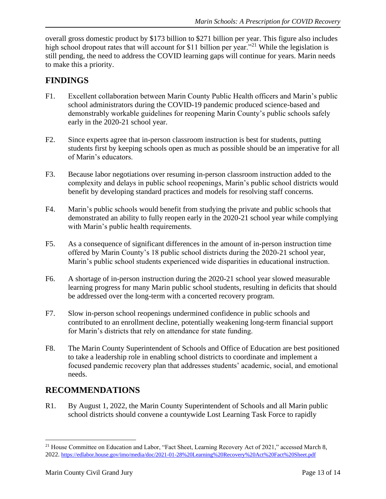overall gross domestic product by \$173 billion to \$271 billion per year. This figure also includes high school dropout rates that will account for \$11 billion per year."<sup>21</sup> While the legislation is still pending, the need to address the COVID learning gaps will continue for years. Marin needs to make this a priority.

## **FINDINGS**

- F1. Excellent collaboration between Marin County Public Health officers and Marin's public school administrators during the COVID-19 pandemic produced science-based and demonstrably workable guidelines for reopening Marin County's public schools safely early in the 2020-21 school year.
- F2. Since experts agree that in-person classroom instruction is best for students, putting students first by keeping schools open as much as possible should be an imperative for all of Marin's educators.
- F3. Because labor negotiations over resuming in-person classroom instruction added to the complexity and delays in public school reopenings, Marin's public school districts would benefit by developing standard practices and models for resolving staff concerns.
- F4. Marin's public schools would benefit from studying the private and public schools that demonstrated an ability to fully reopen early in the 2020-21 school year while complying with Marin's public health requirements.
- F5. As a consequence of significant differences in the amount of in-person instruction time offered by Marin County's 18 public school districts during the 2020-21 school year, Marin's public school students experienced wide disparities in educational instruction.
- F6. A shortage of in-person instruction during the 2020-21 school year slowed measurable learning progress for many Marin public school students, resulting in deficits that should be addressed over the long-term with a concerted recovery program.
- F7. Slow in-person school reopenings undermined confidence in public schools and contributed to an enrollment decline, potentially weakening long-term financial support for Marin's districts that rely on attendance for state funding.
- F8. The Marin County Superintendent of Schools and Office of Education are best positioned to take a leadership role in enabling school districts to coordinate and implement a focused pandemic recovery plan that addresses students' academic, social, and emotional needs.

# **RECOMMENDATIONS**

R1. By August 1, 2022, the Marin County Superintendent of Schools and all Marin public school districts should convene a countywide Lost Learning Task Force to rapidly

<sup>&</sup>lt;sup>21</sup> House Committee on Education and Labor, "Fact Sheet, Learning Recovery Act of 2021," accessed March 8, 2022. <https://edlabor.house.gov/imo/media/doc/2021-01-28%20Learning%20Recovery%20Act%20Fact%20Sheet.pdf>